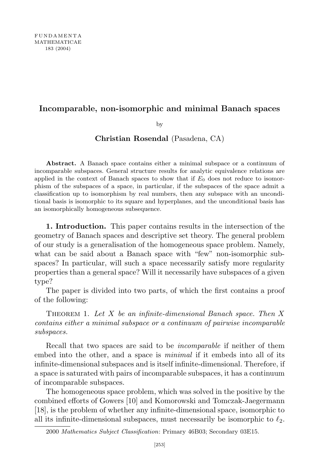## Incomparable, non-isomorphic and minimal Banach spaces

by

Christian Rosendal (Pasadena, CA)

Abstract. A Banach space contains either a minimal subspace or a continuum of incomparable subspaces. General structure results for analytic equivalence relations are applied in the context of Banach spaces to show that if  $E_0$  does not reduce to isomorphism of the subspaces of a space, in particular, if the subspaces of the space admit a classification up to isomorphism by real numbers, then any subspace with an unconditional basis is isomorphic to its square and hyperplanes, and the unconditional basis has an isomorphically homogeneous subsequence.

1. Introduction. This paper contains results in the intersection of the geometry of Banach spaces and descriptive set theory. The general problem of our study is a generalisation of the homogeneous space problem. Namely, what can be said about a Banach space with "few" non-isomorphic subspaces? In particular, will such a space necessarily satisfy more regularity properties than a general space? Will it necessarily have subspaces of a given type?

The paper is divided into two parts, of which the first contains a proof of the following:

THEOREM 1. Let  $X$  be an infinite-dimensional Banach space. Then  $X$ contains either a minimal subspace or a continuum of pairwise incomparable subspaces.

Recall that two spaces are said to be incomparable if neither of them embed into the other, and a space is *minimal* if it embeds into all of its infinite-dimensional subspaces and is itself infinite-dimensional. Therefore, if a space is saturated with pairs of incomparable subspaces, it has a continuum of incomparable subspaces.

The homogeneous space problem, which was solved in the positive by the combined efforts of Gowers [10] and Komorowski and Tomczak-Jaegermann [18], is the problem of whether any infinite-dimensional space, isomorphic to all its infinite-dimensional subspaces, must necessarily be isomorphic to  $\ell_2$ .

<sup>2000</sup> Mathematics Subject Classification: Primary 46B03; Secondary 03E15.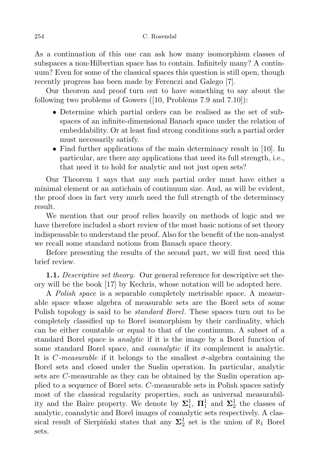As a continuation of this one can ask how many isomorphism classes of subspaces a non-Hilbertian space has to contain. Infinitely many? A continuum? Even for some of the classical spaces this question is still open, though recently progress has been made by Ferenczi and Galego [7].

Our theorem and proof turn out to have something to say about the following two problems of Gowers ([10, Problems 7.9 and 7.10]):

- Determine which partial orders can be realised as the set of subspaces of an infinite-dimensional Banach space under the relation of embeddability. Or at least find strong conditions such a partial order must necessarily satisfy.
- Find further applications of the main determinacy result in [10]. In particular, are there any applications that need its full strength, i.e., that need it to hold for analytic and not just open sets?

Our Theorem 1 says that any such partial order must have either a minimal element or an antichain of continuum size. And, as will be evident, the proof does in fact very much need the full strength of the determinacy result.

We mention that our proof relies heavily on methods of logic and we have therefore included a short review of the most basic notions of set theory indispensable to understand the proof. Also for the benefit of the non-analyst we recall some standard notions from Banach space theory.

Before presenting the results of the second part, we will first need this brief review.

1.1. Descriptive set theory. Our general reference for descriptive set theory will be the book [17] by Kechris, whose notation will be adopted here.

A Polish space is a separable completely metrisable space. A measurable space whose algebra of measurable sets are the Borel sets of some Polish topology is said to be *standard Borel*. These spaces turn out to be completely classified up to Borel isomorphism by their cardinality, which can be either countable or equal to that of the continuum. A subset of a standard Borel space is analytic if it is the image by a Borel function of some standard Borel space, and *coanalytic* if its complement is analytic. It is *C*-measurable if it belongs to the smallest  $\sigma$ -algebra containing the Borel sets and closed under the Suslin operation. In particular, analytic sets are C-measurable as they can be obtained by the Suslin operation applied to a sequence of Borel sets. C-measurable sets in Polish spaces satisfy most of the classical regularity properties, such as universal measurability and the Baire property. We denote by  $\Sigma_1^1$ ,  $\Pi_1^1$  and  $\Sigma_2^1$  the classes of analytic, coanalytic and Borel images of coanalytic sets respectively. A classical result of Sierpinski states that any  $\Sigma^1_2$  set is the union of  $\aleph_1$  Borel sets.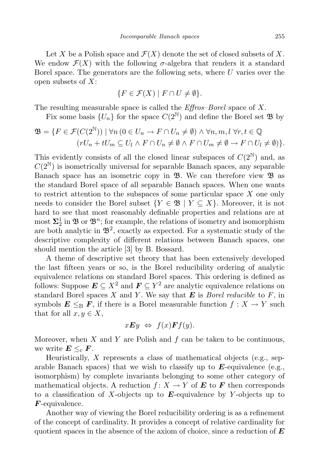Let X be a Polish space and  $\mathcal{F}(X)$  denote the set of closed subsets of X. We endow  $\mathcal{F}(X)$  with the following  $\sigma$ -algebra that renders it a standard Borel space. The generators are the following sets, where U varies over the open subsets of  $X$ :

$$
\{F \in \mathcal{F}(X) \mid F \cap U \neq \emptyset\}.
$$

The resulting measurable space is called the  $Effros-Borel$  space of X.

Fix some basis  $\{U_n\}$  for the space  $C(2^{\mathbb{N}})$  and define the Borel set  $\mathfrak{B}$  by

$$
\mathfrak{B} = \{ F \in \mathcal{F}(C(2^{\mathbb{N}})) \mid \forall n \ (0 \in U_n \to F \cap U_n \neq \emptyset) \land \forall n, m, l \ \forall r, t \in \mathbb{Q} \ (rU_n + tU_m \subseteq U_l \land F \cap U_n \neq \emptyset \land F \cap U_m \neq \emptyset \to F \cap U_l \neq \emptyset) \}.
$$

This evidently consists of all the closed linear subspaces of  $C(2^N)$  and, as  $C(2^N)$  is isometrically universal for separable Banach spaces, any separable Banach space has an isometric copy in  $\mathfrak{B}$ . We can therefore view  $\mathfrak{B}$  as the standard Borel space of all separable Banach spaces. When one wants to restrict attention to the subspaces of some particular space X one only needs to consider the Borel subset  ${Y \in \mathfrak{B} \mid Y \subseteq X}$ . Moreover, it is not hard to see that most reasonably definable properties and relations are at most  $\Sigma_2^1$  in  $\mathfrak{B}$  or  $\mathfrak{B}^n$ ; for example, the relations of isometry and isomorphism are both analytic in  $\mathfrak{B}^2$ , exactly as expected. For a systematic study of the descriptive complexity of different relations between Banach spaces, one should mention the article [3] by B. Bossard.

A theme of descriptive set theory that has been extensively developed the last fifteen years or so, is the Borel reducibility ordering of analytic equivalence relations on standard Borel spaces. This ordering is defined as follows: Suppose  $E \subseteq X^2$  and  $F \subseteq Y^2$  are analytic equivalence relations on standard Borel spaces X and Y. We say that  $E$  is *Borel reducible* to  $F$ , in symbols  $E \leq_B F$ , if there is a Borel measurable function  $f : X \to Y$  such that for all  $x, y \in X$ ,

$$
x\boldsymbol{E}y \Leftrightarrow f(x)\boldsymbol{F}f(y).
$$

Moreover, when  $X$  and  $Y$  are Polish and  $f$  can be taken to be continuous, we write  $E \leq_{\text{c}} F$ .

Heuristically,  $X$  represents a class of mathematical objects (e.g., separable Banach spaces) that we wish to classify up to  $\mathbf{E}$ -equivalence (e.g., isomorphism) by complete invariants belonging to some other category of mathematical objects. A reduction  $f: X \to Y$  of **E** to **F** then corresponds to a classification of X-objects up to  $E$ -equivalence by Y-objects up to F-equivalence.

Another way of viewing the Borel reducibility ordering is as a refinement of the concept of cardinality. It provides a concept of relative cardinality for quotient spaces in the absence of the axiom of choice, since a reduction of  $E$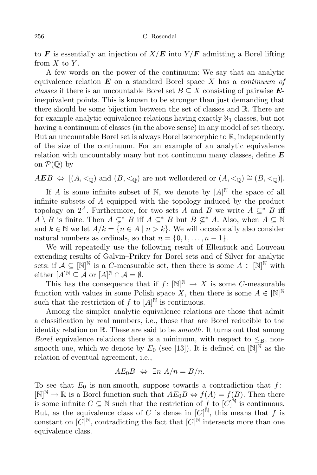to F is essentially an injection of  $X/E$  into  $Y/F$  admitting a Borel lifting from  $X$  to  $Y$ .

A few words on the power of the continuum: We say that an analytic equivalence relation  $E$  on a standard Borel space X has a *continuum of* classes if there is an uncountable Borel set  $B \subseteq X$  consisting of pairwise  $E$ inequivalent points. This is known to be stronger than just demanding that there should be some bijection between the set of classes and R. There are for example analytic equivalence relations having exactly  $\aleph_1$  classes, but not having a continuum of classes (in the above sense) in any model of set theory. But an uncountable Borel set is always Borel isomorphic to R, independently of the size of the continuum. For an example of an analytic equivalence relation with uncountably many but not continuum many classes, define  $E$ on  $\mathcal{P}(\mathbb{Q})$  by

 $AEB \Leftrightarrow [(A, <sub>0</sub>) \text{ and } (B, <sub>0</sub>) \text{ are not wellordered or } (A, <sub>0</sub>) \cong (B, <sub>0</sub>)].$ 

If A is some infinite subset of N, we denote by  $[A]^{\mathbb{N}}$  the space of all infinite subsets of A equipped with the topology induced by the product topology on  $2^A$ . Furthermore, for two sets A and B we write  $A \subseteq^* B$  iff  $A \setminus B$  is finite. Then  $A \subsetneq^* B$  iff  $A \subseteq^* B$  but  $B \nsubseteq^* A$ . Also, when  $A \subseteq \mathbb{N}$ and  $k \in \mathbb{N}$  we let  $A/k = \{n \in A \mid n > k\}$ . We will occasionally also consider natural numbers as ordinals, so that  $n = \{0, 1, \ldots, n-1\}.$ 

We will repeatedly use the following result of Ellentuck and Louveau extending results of Galvin–Prikry for Borel sets and of Silver for analytic sets: if  $\mathcal{A} \subseteq [\mathbb{N}]^{\mathbb{N}}$  is a *C*-measurable set, then there is some  $A \in [\mathbb{N}]^{\mathbb{N}}$  with  $\text{either } [A]^{\mathbb{N}} \subseteq \mathcal{A} \text{ or } [A]^{\mathbb{N}} \cap \mathcal{A} = \emptyset.$ 

This has the consequence that if  $f: [\mathbb{N}]^{\mathbb{N}} \to X$  is some C-measurable function with values in some Polish space X, then there is some  $A \in [\mathbb{N}]^{\mathbb{N}}$ such that the restriction of f to  $[A]^{\mathbb{N}}$  is continuous.

Among the simpler analytic equivalence relations are those that admit a classification by real numbers, i.e., those that are Borel reducible to the identity relation on  $\mathbb{R}$ . These are said to be *smooth*. It turns out that among *Borel* equivalence relations there is a minimum, with respect to  $\leq_B$ , nonsmooth one, which we denote by  $E_0$  (see [13]). It is defined on  $[N]^N$  as the relation of eventual agreement, i.e.,

$$
AE_0B \Leftrightarrow \exists n \; A/n = B/n.
$$

To see that  $E_0$  is non-smooth, suppose towards a contradiction that  $f$ :  $[N]^{\mathbb{N}} \to \mathbb{R}$  is a Borel function such that  $AE_0B \Leftrightarrow f(A) = f(B)$ . Then there is some infinite  $C \subseteq \mathbb{N}$  such that the restriction of f to  $[C]^{\mathbb{N}}$  is continuous. But, as the equivalence class of C is dense in  $[C]^{\mathbb{N}}$ , this means that f is constant on  $[C]^{\mathbb{N}}$ , contradicting the fact that  $[C]^{\mathbb{N}}$  intersects more than one equivalence class.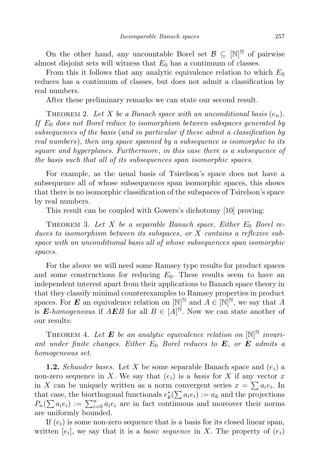On the other hand, any uncountable Borel set  $\mathcal{B} \subseteq [\mathbb{N}]^{\mathbb{N}}$  of pairwise almost disjoint sets will witness that  $E_0$  has a continuum of classes.

From this it follows that any analytic equivalence relation to which  $E_0$ reduces has a continuum of classes, but does not admit a classification by real numbers.

After these preliminary remarks we can state our second result.

THEOREM 2. Let X be a Banach space with an unconditional basis  $(e_n)$ . If  $E_0$  does not Borel reduce to isomorphism between subspaces generated by subsequences of the basis (and in particular if these admit a classification by real numbers), then any space spanned by a subsequence is isomorphic to its square and hyperplanes. Furthermore, in this case there is a subsequence of the basis such that all of its subsequences span isomorphic spaces.

For example, as the usual basis of Tsirelson's space does not have a subsequence all of whose subsequences span isomorphic spaces, this shows that there is no isomorphic classification of the subspaces of Tsirelson's space by real numbers.

This result can be coupled with Gowers's dichotomy [10] proving:

THEOREM 3. Let X be a separable Banach space. Either  $E_0$  Borel reduces to isomorphism between its subspaces, or X contains a reflexive subspace with an unconditional basis all of whose subsequences span isomorphic spaces.

For the above we will need some Ramsey type results for product spaces and some constructions for reducing  $E_0$ . These results seem to have an independent interest apart from their applications to Banach space theory in that they classify minimal counterexamples to Ramsey properties in product spaces. For **E** an equivalence relation on  $[N]^N$  and  $A \in [N]^N$ , we say that A is *E*-homogeneous if  $AEB$  for all  $B \in [A]^{\mathbb{N}}$ . Now we can state another of our results:

THEOREM 4. Let **E** be an analytic equivalence relation on  $[N]^N$  invariant under finite changes. Either  $E_0$  Borel reduces to  $E$ , or  $E$  admits a homogeneous set.

**1.2.** Schauder bases. Let X be some separable Banach space and  $(e_i)$  a non-zero sequence in X. We say that  $(e_i)$  is a basis for X if any vector x in X can be uniquely written as a norm convergent series  $x = \sum a_i e_i$ . In that case, the biorthogonal functionals  $e_k^*(\sum a_i e_i) := a_k$  and the projections  $P_n(\sum a_i e_i) := \sum_{i=0}^n a_i e_i$  are in fact continuous and moreover their norms are uniformly bounded.

If  $(e_i)$  is some non-zero sequence that is a basis for its closed linear span, written  $[e_i]$ , we say that it is a *basic sequence* in X. The property of  $(e_i)$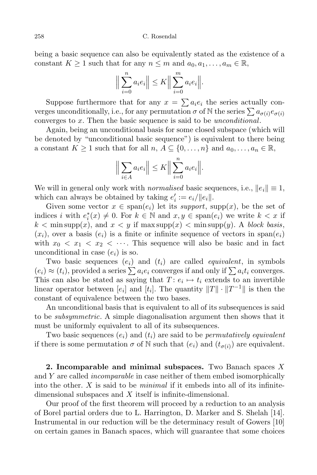being a basic sequence can also be equivalently stated as the existence of a constant  $K \geq 1$  such that for any  $n \leq m$  and  $a_0, a_1, \ldots, a_m \in \mathbb{R}$ ,

$$
\Big\|\sum_{i=0}^n a_i e_i\Big\| \le K \Big\|\sum_{i=0}^m a_i e_i\Big\|.
$$

Suppose furthermore that for any  $x = \sum a_i e_i$  the series actually converges unconditionally, i.e., for any permutation  $\sigma$  of N the series  $\sum a_{\sigma(i)}e_{\sigma(i)}$ converges to x. Then the basic sequence is said to be unconditional.

Again, being an unconditional basis for some closed subspace (which will be denoted by "unconditional basic sequence") is equivalent to there being a constant  $K \geq 1$  such that for all  $n, A \subseteq \{0, \ldots, n\}$  and  $a_0, \ldots, a_n \in \mathbb{R}$ ,

$$
\Big\|\sum_{i\in A}a_ie_i\Big\|\leq K\Big\|\sum_{i=0}^n a_ie_i\Big\|.
$$

We will in general only work with *normalised* basic sequences, i.e.,  $||e_i|| \equiv 1$ , which can always be obtained by taking  $e'_i := e_i / ||e_i||$ .

Given some vector  $x \in \text{span}(e_i)$  let its support, supp $(x)$ , be the set of indices i with  $e_i^*(x) \neq 0$ . For  $k \in \mathbb{N}$  and  $x, y \in \text{span}(e_i)$  we write  $k < x$  if  $k < \min \text{supp}(x)$ , and  $x < y$  if  $\max \text{supp}(x) < \min \text{supp}(y)$ . A block basis,  $(x_i)$ , over a basis  $(e_i)$  is a finite or infinite sequence of vectors in  $\text{span}(e_i)$ with  $x_0 < x_1 < x_2 < \cdots$ . This sequence will also be basic and in fact unconditional in case  $(e_i)$  is so.

Two basic sequences  $(e_i)$  and  $(t_i)$  are called *equivalent*, in symbols  $(e_i) \approx (t_i)$ , provided a series  $\sum a_i e_i$  converges if and only if  $\sum a_i t_i$  converges. This can also be stated as saying that  $T: e_i \mapsto t_i$  extends to an invertible linear operator between  $[e_i]$  and  $[t_i]$ . The quantity  $||T|| \cdot ||T^{-1}||$  is then the constant of equivalence between the two bases.

An unconditional basis that is equivalent to all of its subsequences is said to be *subsymmetric*. A simple diagonalisation argument then shows that it must be uniformly equivalent to all of its subsequences.

Two basic sequences  $(e_i)$  and  $(t_i)$  are said to be *permutatively equivalent* if there is some permutation  $\sigma$  of N such that  $(e_i)$  and  $(t_{\sigma(i)})$  are equivalent.

2. Incomparable and minimal subspaces. Two Banach spaces  $X$ and Y are called *incomparable* in case neither of them embed isomorphically into the other.  $X$  is said to be *minimal* if it embeds into all of its infinitedimensional subspaces and  $X$  itself is infinite-dimensional.

Our proof of the first theorem will proceed by a reduction to an analysis of Borel partial orders due to L. Harrington, D. Marker and S. Shelah [14]. Instrumental in our reduction will be the determinacy result of Gowers [10] on certain games in Banach spaces, which will guarantee that some choices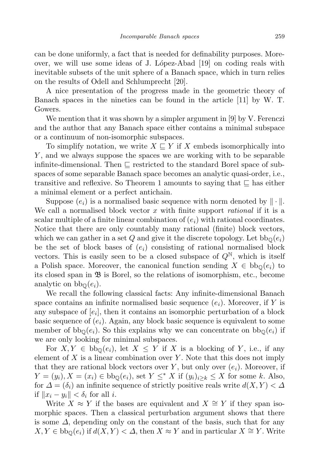can be done uniformly, a fact that is needed for definability purposes. Moreover, we will use some ideas of J. López-Abad [19] on coding reals with inevitable subsets of the unit sphere of a Banach space, which in turn relies on the results of Odell and Schlumprecht [20].

A nice presentation of the progress made in the geometric theory of Banach spaces in the nineties can be found in the article [11] by W. T. Gowers.

We mention that it was shown by a simpler argument in [9] by V. Ferenczi and the author that any Banach space either contains a minimal subspace or a continuum of non-isomorphic subspaces.

To simplify notation, we write  $X \subseteq Y$  if X embeds isomorphically into Y , and we always suppose the spaces we are working with to be separable infinite-dimensional. Then  $\sqsubseteq$  restricted to the standard Borel space of subspaces of some separable Banach space becomes an analytic quasi-order, i.e., transitive and reflexive. So Theorem 1 amounts to saying that  $\subseteq$  has either a minimal element or a perfect antichain.

Suppose  $(e_i)$  is a normalised basic sequence with norm denoted by  $\|\cdot\|$ . We call a normalised block vector  $x$  with finite support *rational* if it is a scalar multiple of a finite linear combination of  $(e_i)$  with rational coordinates. Notice that there are only countably many rational (finite) block vectors, which we can gather in a set Q and give it the discrete topology. Let  $bb_0(e_i)$ be the set of block bases of  $(e_i)$  consisting of rational normalised block vectors. This is easily seen to be a closed subspace of  $Q^N$ , which is itself a Polish space. Moreover, the canonical function sending  $X \in bb<sub>0</sub>(e<sub>i</sub>)$  to its closed span in  $\mathfrak{B}$  is Borel, so the relations of isomorphism, etc., become analytic on  $bb_{\mathbb{Q}}(e_i)$ .

We recall the following classical facts: Any infinite-dimensional Banach space contains an infinite normalised basic sequence  $(e_i)$ . Moreover, if Y is any subspace of  $[e_i]$ , then it contains an isomorphic perturbation of a block basic sequence of  $(e_i)$ . Again, any block basic sequence is equivalent to some member of  $bb_{\mathbb{Q}}(e_i)$ . So this explains why we can concentrate on  $bb_{\mathbb{Q}}(e_i)$  if we are only looking for minimal subspaces.

For  $X, Y \in bb_{\mathbb{Q}}(e_i)$ , let  $X \leq Y$  if X is a blocking of Y, i.e., if any element of  $X$  is a linear combination over  $Y$ . Note that this does not imply that they are rational block vectors over Y, but only over  $(e_i)$ . Moreover, if  $Y = (y_i), X = (x_i) \in bb_{\mathbb{Q}}(e_i)$ , set  $Y \leq^* X$  if  $(y_i)_{i \geq k} \leq X$  for some k. Also, for  $\Delta = (\delta_i)$  an infinite sequence of strictly positive reals write  $d(X, Y) < \Delta$ if  $||x_i - y_i|| < \delta_i$  for all *i*.

Write  $X \approx Y$  if the bases are equivalent and  $X \cong Y$  if they span isomorphic spaces. Then a classical perturbation argument shows that there is some  $\Delta$ , depending only on the constant of the basis, such that for any  $X, Y \in bb<sub>0</sub>(e<sub>i</sub>)$  if  $d(X, Y) < \Delta$ , then  $X \approx Y$  and in particular  $X \cong Y$ . Write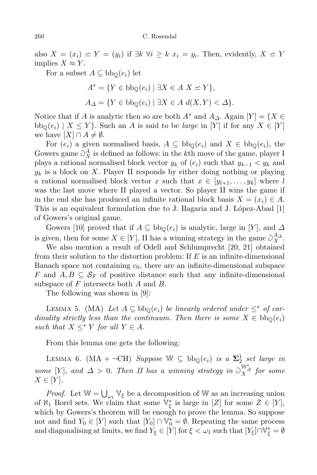also  $X = (x_i) \subseteq Y = (y_i)$  if  $\exists k \; \forall i \geq k \; x_i = y_i$ . Then, evidently,  $X \subseteq Y$ implies  $X \approx Y$ .

For a subset  $A \subseteq bb_{\mathbb{Q}}(e_i)$  let

$$
A^* = \{ Y \in \text{bb}_{\mathbb{Q}}(e_i) \mid \exists X \in A \ X \simeq Y \},
$$
  

$$
A_{\Delta} = \{ Y \in \text{bb}_{\mathbb{Q}}(e_i) \mid \exists X \in A \ d(X, Y) < \Delta \}.
$$

Notice that if A is analytic then so are both  $A^*$  and  $A_{\Delta}$ . Again  $[Y] = \{X \in$  $bb_{\mathbb{O}}(e_i) \mid X \leq Y$ . Such an A is said to be *large* in [Y] if for any  $X \in [Y]$ we have  $[X] \cap A \neq \emptyset$ .

For  $(e_i)$  a given normalised basis,  $A \subseteq bb_0(e_i)$  and  $X \in bb_0(e_i)$ , the Gowers game  $\partial_X^A$  is defined as follows: in the kth move of the game, player I plays a rational normalised block vector  $y_k$  of  $(e_i)$  such that  $y_{k-1} < y_k$  and  $y_k$  is a block on X. Player II responds by either doing nothing or playing a rational normalised block vector x such that  $x \in [y_{l+1}, \ldots, y_k]$  where l was the last move where II played a vector. So player II wins the game if in the end she has produced an infinite rational block basis  $X = (x_i) \in A$ . This is an equivalent formulation due to J. Bagaria and J. López-Abad  $[1]$ of Gowers's original game.

Gowers [10] proved that if  $A \subseteq bb_0(e_i)$  is analytic, large in [Y], and  $\Delta$ is given, then for some  $X \in [Y]$ , II has a winning strategy in the game  $\mathcal{O}_X^{A_{\Delta}}$ .

We also mention a result of Odell and Schlumprecht [20, 21] obtained from their solution to the distortion problem: If  $E$  is an infinite-dimensional Banach space not containing  $c_0$ , there are an infinite-dimensional subspace F and  $A, B \subseteq \mathcal{S}_F$  of positive distance such that any infinite-dimensional subspace of  $F$  intersects both  $A$  and  $B$ .

The following was shown in [9]:

LEMMA 5. (MA) Let  $A \subseteq \text{bb}_{\mathbb{Q}}(e_i)$  be linearly ordered under  $\leq^*$  of cardinality strictly less than the continuum. Then there is some  $X \in bb_0(e_i)$ such that  $X \leq^* Y$  for all  $Y \in A$ .

From this lemma one gets the following:

LEMMA 6.  $(MA + \neg CH)$  Suppose  $W \subseteq bb_{\mathbb{Q}}(e_i)$  is a  $\Sigma^1_{2}$  set large in some [Y], and  $\Delta > 0$ . Then II has a winning strategy in  $\sup_{X}^{\mathbb{W}_{\Delta}^{*}}$  for some  $X \in [Y].$ 

*Proof.* Let  $\mathbb{W} = \bigcup_{\omega_1} \mathbb{V}_{\xi}$  be a decomposition of  $\mathbb{W}$  as an increasing union of  $\aleph_1$  Borel sets. We claim that some  $\mathbb{V}_{\xi}^*$  is large in [Z] for some  $Z \in [Y]$ , which by Gowers's theorem will be enough to prove the lemma. So suppose not and find  $Y_0 \in [Y]$  such that  $[Y_0] \cap \mathbb{V}_0^* = \emptyset$ . Repeating the same process and diagonalising at limits, we find  $Y_{\xi} \in [Y]$  for  $\xi < \omega_1$  such that  $[Y_{\xi}] \cap \mathbb{V}_{\xi}^{*} = \emptyset$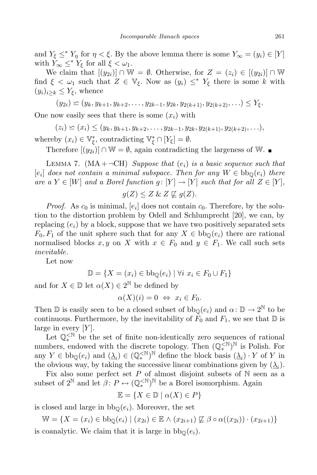and  $Y_{\xi} \leq^* Y_n$  for  $\eta < \xi$ . By the above lemma there is some  $Y_{\infty} = (y_i) \in [Y]$ with  $Y_{\infty} \leq^* Y_{\xi}$  for all  $\xi < \omega_1$ .

We claim that  $[(y_{2i})] \cap \mathbb{W} = \emptyset$ . Otherwise, for  $Z = (z_i) \in [(y_{2i})] \cap \mathbb{W}$ find  $\xi < \omega_1$  such that  $Z \in \mathbb{V}_{\xi}$ . Now as  $(y_i) \leq^* Y_{\xi}$  there is some k with  $(y_i)_{i\geq k} \leq Y_{\xi}$ , whence

$$
(y_{2i}) \simeq (y_k, y_{k+1}, y_{k+2}, \ldots, y_{2k-1}, y_{2k}, y_{2(k+1)}, y_{2(k+2)}, \ldots) \le Y_{\xi}.
$$

One now easily sees that there is some  $(x_i)$  with

 $(z_i) \leq (x_i) \leq (y_k, y_{k+1}, y_{k+2}, \ldots, y_{2k-1}, y_{2k}, y_{2(k+1)}, y_{2(k+2)}, \ldots),$ 

whereby  $(x_i) \in \mathbb{V}_{\xi}^*$ , contradicting  $\mathbb{V}_{\xi}^* \cap [Y_{\xi}] = \emptyset$ .

Therefore  $[(y_{2i})] \cap \mathbb{W} = \emptyset$ , again contradicting the largeness of W. ■

LEMMA 7.  $(MA + \neg CH)$  Suppose that  $(e_i)$  is a basic sequence such that  $[e_i]$  does not contain a minimal subspace. Then for any  $W \in \text{bb}_{\mathbb{Q}}(e_i)$  there are a  $Y \in [W]$  and a Borel function  $g: [Y] \to [Y]$  such that for all  $Z \in [Y]$ ,

 $q(Z) \leq Z \& Z \not\sqsubset q(Z).$ 

*Proof.* As  $c_0$  is minimal,  $[e_i]$  does not contain  $c_0$ . Therefore, by the solution to the distortion problem by Odell and Schlumprecht [20], we can, by replacing  $(e_i)$  by a block, suppose that we have two positively separated sets  $F_0, F_1$  of the unit sphere such that for any  $X \in \text{bb}_{\mathbb{Q}}(e_i)$  there are rational normalised blocks x, y on X with  $x \in F_0$  and  $y \in F_1$ . We call such sets inevitable.

Let now

$$
\mathbb{D} = \{ X = (x_i) \in \text{bb}_{\mathbb{Q}}(e_i) \mid \forall i \ x_i \in F_0 \cup F_1 \}
$$

and for  $X \in \mathbb{D}$  let  $\alpha(X) \in 2^{\mathbb{N}}$  be defined by

$$
\alpha(X)(i) = 0 \Leftrightarrow x_i \in F_0.
$$

Then  $\mathbb D$  is easily seen to be a closed subset of  $bb_{\mathbb Q}(e_i)$  and  $\alpha: \mathbb D \to 2^{\mathbb N}$  to be continuous. Furthermore, by the inevitability of  $F_0$  and  $F_1$ , we see that  $\mathbb D$  is large in every  $[Y]$ .

Let  $\mathbb{Q}_*^{\leq \mathbb{N}}$  be the set of finite non-identically zero sequences of rational numbers, endowed with the discrete topology. Then  $(\mathbb{Q}_*^{\leq N})^{\mathbb{N}}$  is Polish. For any  $Y \in bb_{\mathbb{Q}}(e_i)$  and  $(\underline{\lambda}_i) \in (\mathbb{Q}_*^{\leq \mathbb{N}})^{\mathbb{N}}$  define the block basis  $(\underline{\lambda}_i) \cdot Y$  of Y in the obvious way, by taking the successive linear combinations given by  $(\underline{\lambda}_i)$ .

Fix also some perfect set  $P$  of almost disjoint subsets of  $N$  seen as a subset of  $2^{\mathbb{N}}$  and let  $\beta \colon P \leftrightarrow (\mathbb{Q}_*^{\leq \mathbb{N}})^{\mathbb{N}}$  be a Borel isomorphism. Again

 $\mathbb{E} = \{X \in \mathbb{D} \mid \alpha(X) \in P\}$ 

is closed and large in  $bb_{\mathbb{Q}}(e_i)$ . Moreover, the set

 $\mathbb{W} = \{X = (x_i) \in \text{bb}_{\mathbb{O}}(e_i) \mid (x_{2i}) \in \mathbb{E} \land (x_{2i+1}) \not\sqsubseteq \beta \circ \alpha((x_{2i})) \cdot (x_{2i+1})\}$ is coanalytic. We claim that it is large in  $bb_{\mathbb{Q}}(e_i)$ .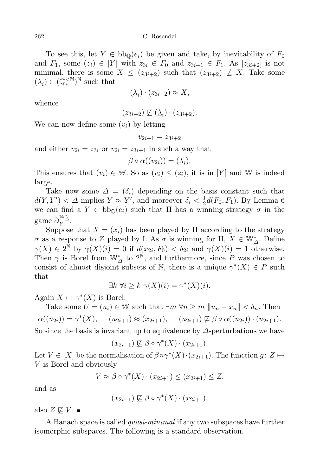To see this, let  $Y \in bb_0(e_i)$  be given and take, by inevitability of  $F_0$ and  $F_1$ , some  $(z_i) \in [Y]$  with  $z_{3i} \in F_0$  and  $z_{3i+1} \in F_1$ . As  $[z_{3i+2}]$  is not minimal, there is some  $X \leq (z_{3i+2})$  such that  $(z_{3i+2}) \not\sqsubseteq X$ . Take some  $(\underline{\lambda}_i) \in (\mathbb{Q}_*^{\lt N})^{\mathbb{N}}$  such that

$$
(\underline{\lambda}_i) \cdot (z_{3i+2}) \approx X,
$$

whence

$$
(z_{3i+2}) \not\sqsubseteq (\underline{\lambda}_i) \cdot (z_{3i+2}).
$$

We can now define some  $(v_i)$  by letting

$$
v_{2i+1} = z_{3i+2}
$$

and either  $v_{2i} = z_{3i}$  or  $v_{2i} = z_{3i+1}$  in such a way that

$$
\beta \circ \alpha((v_{2i})) = (\underline{\lambda}_i).
$$

This ensures that  $(v_i) \in \mathbb{W}$ . So as  $(v_i) \leq (z_i)$ , it is in [Y] and W is indeed large.

Take now some  $\Delta = (\delta_i)$  depending on the basis constant such that  $d(Y, Y') < \Delta$  implies  $Y \approx Y'$ , and moreover  $\delta_i < \frac{1}{2}$  $\frac{1}{2}d(F_0, F_1)$ . By Lemma 6 we can find a  $Y \in bb_0(e_i)$  such that II has a winning strategy  $\sigma$  in the game  $\partial_{Y}^{\mathbb{W}_{\Delta}^{*}}$ .

Suppose that  $X = (x_i)$  has been played by II according to the strategy  $\sigma$  as a response to Z played by I. As  $\sigma$  is winning for II,  $X \in \mathbb{W}_{\Delta}^*$ . Define  $\gamma(X) \in 2^{\mathbb{N}}$  by  $\gamma(X)(i) = 0$  if  $d(x_{2i}, F_0) < \delta_{2i}$  and  $\gamma(X)(i) = 1$  otherwise. Then  $\gamma$  is Borel from  $\mathbb{W}_{\Delta}^*$  to  $2^{\mathbb{N}}$ , and furthermore, since P was chosen to consist of almost disjoint subsets of  $\mathbb N$ , there is a unique  $\gamma^*(X) \in P$  such that

$$
\exists k \,\forall i \geq k \,\,\gamma(X)(i) = \gamma^*(X)(i).
$$

Again  $X \mapsto \gamma^*(X)$  is Borel.

Take some  $U = (u_i) \in \mathbb{W}$  such that  $\exists m \forall n \ge m \ ||u_n - x_n|| < \delta_n$ . Then  $\alpha((u_{2i})) = \gamma^*(X), \quad (u_{2i+1}) \approx (x_{2i+1}), \quad (u_{2i+1}) \not\sqsubseteq \beta \circ \alpha((u_{2i})) \cdot (u_{2i+1}).$ 

So since the basis is invariant up to equivalence by  $\Delta$ -perturbations we have

$$
(x_{2i+1}) \not\sqsubseteq \beta \circ \gamma^*(X) \cdot (x_{2i+1}).
$$

Let  $V \in [X]$  be the normalisation of  $\beta \circ \gamma^*(X) \cdot (x_{2i+1})$ . The function  $g: Z \mapsto$ V is Borel and obviously

$$
V \approx \beta \circ \gamma^*(X) \cdot (x_{2i+1}) \le (x_{2i+1}) \le Z,
$$

and as

$$
(x_{2i+1}) \not\sqsubseteq \beta \circ \gamma^*(X) \cdot (x_{2i+1}),
$$

also  $Z \not\sqsubseteq V$ .  $\blacksquare$ 

A Banach space is called *quasi-minimal* if any two subspaces have further isomorphic subspaces. The following is a standard observation.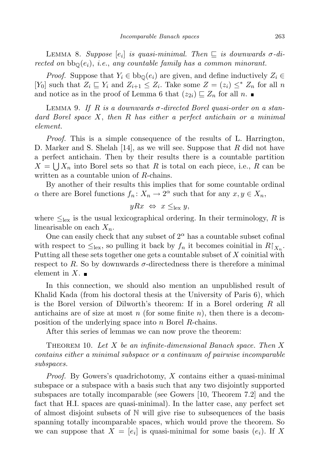LEMMA 8. Suppose  $[e_i]$  is quasi-minimal. Then  $\sqsubseteq$  is downwards  $\sigma$ -directed on  $bb_{\mathbb{Q}}(e_i)$ , i.e., any countable family has a common minorant.

*Proof.* Suppose that  $Y_i \in bb_0(e_i)$  are given, and define inductively  $Z_i \in$ [Y<sub>0</sub>] such that  $Z_i \sqsubseteq Y_i$  and  $Z_{i+1} \leq Z_i$ . Take some  $Z = (z_i) \leq^* Z_n$  for all n and notice as in the proof of Lemma 6 that  $(z_{2i}) \sqsubseteq Z_n$  for all n.

LEMMA 9. If R is a downwards  $\sigma$ -directed Borel quasi-order on a standard Borel space X, then R has either a perfect antichain or a minimal element.

Proof. This is a simple consequence of the results of L. Harrington, D. Marker and S. Shelah  $[14]$ , as we will see. Suppose that R did not have a perfect antichain. Then by their results there is a countable partition  $X = \bigcup X_n$  into Borel sets so that R is total on each piece, i.e., R can be written as a countable union of R-chains.

By another of their results this implies that for some countable ordinal  $\alpha$  there are Borel functions  $f_n: X_n \to 2^{\alpha}$  such that for any  $x, y \in X_n$ ,

$$
yRx \Leftrightarrow x \leq_{\text{lex}} y,
$$

where  $\leq_{\text{lex}}$  is the usual lexicographical ordering. In their terminology, R is linearisable on each  $X_n$ .

One can easily check that any subset of  $2^{\alpha}$  has a countable subset cofinal with respect to  $\leq_{\text{lex}}$ , so pulling it back by  $f_n$  it becomes coinitial in  $R|_{X_n}$ . Putting all these sets together one gets a countable subset of  $X$  coinitial with respect to R. So by downwards  $\sigma$ -directedness there is therefore a minimal element in X.  $\blacksquare$ 

In this connection, we should also mention an unpublished result of Khalid Kada (from his doctoral thesis at the University of Paris 6), which is the Borel version of Dilworth's theorem: If in a Borel ordering R all antichains are of size at most n (for some finite n), then there is a decomposition of the underlying space into n Borel R-chains.

After this series of lemmas we can now prove the theorem:

THEOREM 10. Let X be an infinite-dimensional Banach space. Then X contains either a minimal subspace or a continuum of pairwise incomparable subspaces.

Proof. By Gowers's quadrichotomy, X contains either a quasi-minimal subspace or a subspace with a basis such that any two disjointly supported subspaces are totally incomparable (see Gowers [10, Theorem 7.2] and the fact that H.I. spaces are quasi-minimal). In the latter case, any perfect set of almost disjoint subsets of N will give rise to subsequences of the basis spanning totally incomparable spaces, which would prove the theorem. So we can suppose that  $X = [e_i]$  is quasi-minimal for some basis  $(e_i)$ . If X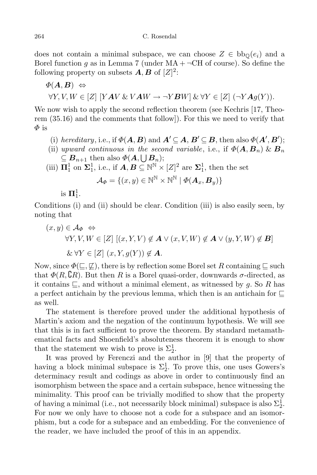does not contain a minimal subspace, we can choose  $Z \in bb_0(e_i)$  and a Borel function q as in Lemma 7 (under  $MA + \neg CH$  of course). So define the following property on subsets  $A, B$  of  $[Z]^2$ :

$$
\Phi(\mathbf{A}, \mathbf{B}) \Leftrightarrow \forall Y, V, W \in [Z] [YAV & VAW \rightarrow \neg YBW] & \forall Y \in [Z] (\neg YAg(Y)).
$$

We now wish to apply the second reflection theorem (see Kechris [17, Theorem (35.16) and the comments that follow]). For this we need to verify that  $\varPhi$  is

- (i) hereditary, i.e., if  $\Phi(\mathbf{A}, \mathbf{B})$  and  $\mathbf{A}' \subseteq \mathbf{A}, \mathbf{B}' \subseteq \mathbf{B}$ , then also  $\Phi(\mathbf{A}', \mathbf{B}')$ ;
- (ii) upward continuous in the second variable, i.e., if  $\Phi(\mathbf{A}, \mathbf{B}_n) \& \mathbf{B}_n$  $\subseteq B_{n+1}$  then also  $\Phi(A, \bigcup B_n);$
- (iii)  $\mathbf{\Pi}^1_1$  on  $\mathbf{\Sigma}^1_1$ , i.e., if  $\mathbf{A}, \mathbf{B} \subseteq \mathbb{N}^{\mathbb{N}} \times [Z]^2$  are  $\mathbf{\Sigma}^1_1$ , then the set

$$
\mathcal{A}_{\Phi} = \{ (x, y) \in \mathbb{N}^{\mathbb{N}} \times \mathbb{N}^{\mathbb{N}} \mid \Phi(\boldsymbol{A}_x, \boldsymbol{B}_y) \}
$$

is  $\mathbf{\Pi}^1_1$ .

Conditions (i) and (ii) should be clear. Condition (iii) is also easily seen, by noting that

$$
(x, y) \in \mathcal{A}_{\Phi} \Leftrightarrow
$$
  
\n
$$
\forall Y, V, W \in [Z] [(x, Y, V) \notin \mathbf{A} \lor (x, V, W) \notin \mathbf{A} \lor (y, Y, W) \notin \mathbf{B}]
$$
  
\n
$$
\& \forall Y \in [Z] (x, Y, g(Y)) \notin \mathbf{A}.
$$

Now, since  $\Phi(\sqsubseteq, \not\sqsubseteq)$ , there is by reflection some Borel set R containing  $\sqsubseteq$  such that  $\Phi(R, \mathcal{C}_R)$ . But then R is a Borel quasi-order, downwards  $\sigma$ -directed, as it contains  $\sqsubseteq$ , and without a minimal element, as witnessed by g. So R has a perfect antichain by the previous lemma, which then is an antichain for  $\Box$ as well.

The statement is therefore proved under the additional hypothesis of Martin's axiom and the negation of the continuum hypothesis. We will see that this is in fact sufficient to prove the theorem. By standard metamathematical facts and Shoenfield's absoluteness theorem it is enough to show that the statement we wish to prove is  $\Sigma_2^1$ .

It was proved by Ferenczi and the author in [9] that the property of having a block minimal subspace is  $\Sigma_2^1$ . To prove this, one uses Gowers's determinacy result and codings as above in order to continuously find an isomorphism between the space and a certain subspace, hence witnessing the minimality. This proof can be trivially modified to show that the property of having a minimal (i.e., not necessarily block minimal) subspace is also  $\Sigma^1_2$ . For now we only have to choose not a code for a subspace and an isomorphism, but a code for a subspace and an embedding. For the convenience of the reader, we have included the proof of this in an appendix.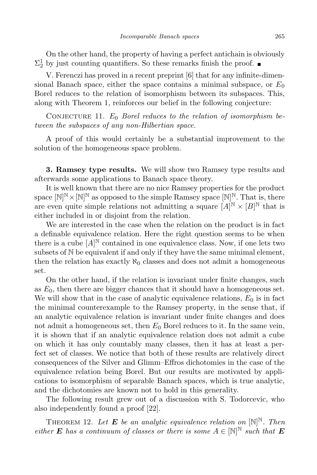On the other hand, the property of having a perfect antichain is obviously  $\Sigma_2^1$  by just counting quantifiers. So these remarks finish the proof.

V. Ferenczi has proved in a recent preprint [6] that for any infinite-dimensional Banach space, either the space contains a minimal subspace, or  $E_0$ Borel reduces to the relation of isomorphism between its subspaces. This, along with Theorem 1, reinforces our belief in the following conjecture:

CONJECTURE 11.  $E_0$  Borel reduces to the relation of isomorphism between the subspaces of any non-Hilbertian space.

A proof of this would certainly be a substantial improvement to the solution of the homogeneous space problem.

3. Ramsey type results. We will show two Ramsey type results and afterwards some applications to Banach space theory.

It is well known that there are no nice Ramsey properties for the product space  $[N]^N \times [N]^N$  as opposed to the simple Ramsey space  $[N]^N$ . That is, there are even quite simple relations not admitting a square  $[A]^N \times [B]^N$  that is either included in or disjoint from the relation.

We are interested in the case when the relation on the product is in fact a definable equivalence relation. Here the right question seems to be when there is a cube  $[A]^{\mathbb{N}}$  contained in one equivalence class. Now, if one lets two subsets of N be equivalent if and only if they have the same minimal element, then the relation has exactly  $\aleph_0$  classes and does not admit a homogeneous set.

On the other hand, if the relation is invariant under finite changes, such as  $E_0$ , then there are bigger chances that it should have a homogeneous set. We will show that in the case of analytic equivalence relations,  $E_0$  is in fact the minimal counterexample to the Ramsey property, in the sense that, if an analytic equivalence relation is invariant under finite changes and does not admit a homogeneous set, then  $E_0$  Borel reduces to it. In the same vein, it is shown that if an analytic equivalence relation does not admit a cube on which it has only countably many classes, then it has at least a perfect set of classes. We notice that both of these results are relatively direct consequences of the Silver and Glimm–Effros dichotomies in the case of the equivalence relation being Borel. But our results are motivated by applications to isomorphism of separable Banach spaces, which is true analytic, and the dichotomies are known not to hold in this generality.

The following result grew out of a discussion with S. Todorcevic, who also independently found a proof [22].

THEOREM 12. Let **E** be an analytic equivalence relation on  $[N]^N$ . Then either **E** has a continuum of classes or there is some  $A \in [\mathbb{N}]^{\mathbb{N}}$  such that **E**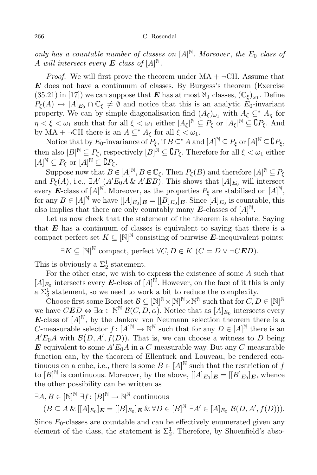only has a countable number of classes on  $[A]^{\mathbb{N}}$ . Moreover, the  $E_0$  class of A will intersect every  $\boldsymbol{E}\text{-class of }[A]^{\mathbb{N}}.$ 

*Proof.* We will first prove the theorem under  $MA + \neg CH$ . Assume that  $E$  does not have a continuum of classes. By Burgess's theorem (Exercise  $(35.21)$  in [17]) we can suppose that **E** has at most  $\aleph_1$  classes,  $(\mathbb{C}_{\xi})_{\omega_1}$ . Define  $P_{\xi}(A) \leftrightarrow [A]_{E_0} \cap \mathbb{C}_{\xi} \neq \emptyset$  and notice that this is an analytic  $E_0$ -invariant property. We can by simple diagonalisation find  $(A_{\xi})_{\omega_1}$  with  $A_{\xi} \subseteq^* A_{\eta}$  for  $\eta < \xi < \omega_1$  such that for all  $\xi < \omega_1$  either  $[A_\xi]^\mathbb{N} \subseteq P_\xi$  or  $[A_\xi]^\mathbb{N} \subseteq \mathbb{C}P_\xi$ . And by MA +  $\neg$ CH there is an  $A \subseteq^* A_{\xi}$  for all  $\xi < \omega_1$ .

Notice that by  $E_0$ -invariance of  $P_{\xi}$ , if  $B \subseteq^* A$  and  $[A]^{\mathbb{N}} \subseteq P_{\xi}$  or  $[A]^{\mathbb{N}} \subseteq \mathbb{C}P_{\xi}$ , then also  $[B]^{\mathbb{N}} \subseteq P_{\xi}$ , respectively  $[B]^{\mathbb{N}} \subseteq \mathbb{C}P_{\xi}$ . Therefore for all  $\xi < \omega_1$  either  $[A]^{\mathbb{N}} \subseteq P_{\xi}$  or  $[A]^{\mathbb{N}} \subseteq \mathbb{C}P_{\xi}$ .

Suppose now that  $B \in [A]^{\mathbb{N}}$ ,  $B \in \mathbb{C}_{\xi}$ . Then  $P_{\xi}(B)$  and therefore  $[A]^{\mathbb{N}} \subseteq P_{\xi}$ and  $P_{\xi}(A)$ , i.e.,  $\exists A' (A'E_0A \& A'EB)$ . This shows that  $[A]_{E_0}$  will intersect every E-class of  $[A]^{\mathbb{N}}$ . Moreover, as the properties  $P_{\xi}$  are stabilised on  $[A]^{\mathbb{N}}$ , for any  $B \in [A]^{\mathbb{N}}$  we have  $[[A]_{E_0}]_{E} = [[B]_{E_0}]_{E}$ . Since  $[A]_{E_0}$  is countable, this also implies that there are only countably many E-classes of  $[A]^{\mathbb{N}}$ .

Let us now check that the statement of the theorem is absolute. Saying that  $E$  has a continuum of classes is equivalent to saying that there is a compact perfect set  $K \subseteq [\mathbb{N}]^{\mathbb{N}}$  consisting of pairwise **E**-inequivalent points:

 $\exists K \subseteq [\mathbb{N}]^{\mathbb{N}}$  compact, perfect  $\forall C, D \in K \ (C = D \lor \neg C \mathbf{E} D).$ 

This is obviously a  $\Sigma_2^1$  statement.

For the other case, we wish to express the existence of some A such that  $[A]_{E_0}$  intersects every **E**-class of  $[A]^{\mathbb{N}}$ . However, on the face of it this is only a  $\Sigma_3^1$  statement, so we need to work a bit to reduce the complexity.

Choose first some Borel set  $\mathcal{B} \subseteq [\mathbb{N}]^{\mathbb{N}} \times [\mathbb{N}]^{\mathbb{N}} \times \mathbb{N}^{\mathbb{N}}$  such that for  $C, D \in [\mathbb{N}]^{\mathbb{N}}$ we have  $CED \Leftrightarrow \exists \alpha \in \mathbb{N}^{\mathbb{N}}$   $\mathcal{B}(C, D, \alpha)$ . Notice that as  $[A]_{E_0}$  intersects every **E**-class of  $[A]^{\mathbb{N}}$ , by the Jankov–von Neumann selection theorem there is a C-measurable selector  $f : [A]^{\mathbb{N}} \to \mathbb{N}^{\mathbb{N}}$  such that for any  $D \in [A]^{\mathbb{N}}$  there is an  $A'E_0A$  with  $\mathcal{B}(D, A', f(D))$ . That is, we can choose a witness to D being E-equivalent to some  $A'E_0A$  in a C-measurable way. But any C-measurable function can, by the theorem of Ellentuck and Louveau, be rendered continuous on a cube, i.e., there is some  $B \in [A]^{\mathbb{N}}$  such that the restriction of f to  $[B]^{\mathbb{N}}$  is continuous. Moreover, by the above,  $[[A]_{E_0}]_{E} = [[B]_{E_0}]_E$ , whence the other possibility can be written as

$$
\exists A, B \in [\mathbb{N}]^{\mathbb{N}} \exists f \colon [B]^{\mathbb{N}} \to \mathbb{N}^{\mathbb{N}} \text{ continuous}
$$
  

$$
(B \subseteq A \& [[A]_{E_0}]_{E} = [[B]_{E_0}]_{E} \& \forall D \in [B]^{\mathbb{N}} \exists A' \in [A]_{E_0} \mathcal{B}(D, A', f(D))).
$$

Since  $E_0$ -classes are countable and can be effectively enumerated given any element of the class, the statement is  $\Sigma_2^1$ . Therefore, by Shoenfield's abso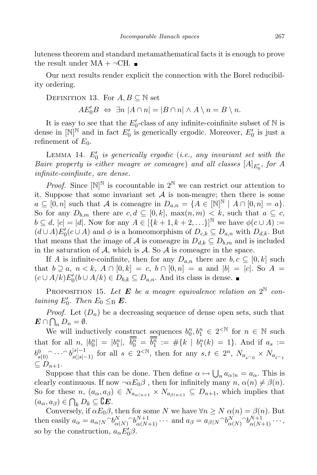luteness theorem and standard metamathematical facts it is enough to prove the result under  $MA + \neg CH$ .

Our next results render explicit the connection with the Borel reducibility ordering.

DEFINITION 13. For 
$$
A, B \subseteq \mathbb{N}
$$
 set  
\n $AE'_0B \Leftrightarrow \exists n |A \cap n| = |B \cap n| \wedge A \setminus n = B \setminus n$ .

It is easy to see that the  $E_0'$ -class of any infinite-coinfinite subset of N is dense in  $[N]^{\mathbb{N}}$  and in fact  $E'_0$  is generically ergodic. Moreover,  $E'_0$  is just a refinement of  $E_0$ .

 $\emph{LEMMA}$  14.  $E'_0$  is generically ergodic (i.e., any invariant set with the Baire property is either meagre or comeagre) and all classes  $[A]_{E'_0}$ , for A infinite-coinfinite, are dense.

*Proof.* Since  $[N]^N$  is cocountable in  $2^N$  we can restrict our attention to it. Suppose that some invariant set  $A$  is non-meagre; then there is some  $a \subseteq [0,n]$  such that A is comeagre in  $D_{a,n} = \{A \in [\mathbb{N}]^{\mathbb{N}} \mid A \cap [0,n] = a\}.$ So for any  $D_{b,m}$  there are  $c, d \subseteq [0, k]$ ,  $\max(n, m) < k$ , such that  $a \subseteq c$ ,  $b \subseteq d, |c| = |d|$ . Now for any  $A \in [\{k+1, k+2, \ldots\}]^{\mathbb{N}}$  we have  $\phi(c \cup A) :=$  $(d \cup A)E'_{0}(c \cup A)$  and  $\phi$  is a homeomorphism of  $D_{c,k} \subseteq D_{a,n}$  with  $D_{d,k}$ . But that means that the image of A is comeagre in  $D_{d,k} \subseteq D_{b,m}$  and is included in the saturation of A, which is A. So A is comeagre in the space.

If A is infinite-coinfinite, then for any  $D_{a,n}$  there are  $b, c \subseteq [0, k]$  such that  $b \supseteq a, n < k, A \cap [0,k] = c, b \cap [0,n] = a$  and  $|b| = |c|$ . So  $A =$  $(c \cup A/k)E'_{0}(b \cup A/k) \in D_{b,k} \subseteq D_{a,n}$ . And its class is dense.

PROPOSITION 15. Let **E** be a meagre equivalence relation on  $2^{\mathbb{N}}$  containing  $E'_0$ . Then  $E_0 \leq_{\text{B}} \mathbf{E}$ .

*Proof.* Let  $(D_n)$  be a decreasing sequence of dense open sets, such that  $\mathbf{E} \cap \bigcap_n D_n = \emptyset.$ 

We will inductively construct sequences  $b_0^n, b_1^n \in 2^{\lt N}$  for  $n \in \mathbb{N}$  such that for all  $n, |b_0^n| = |b_1^n|, \ \overline{b_0^n} = \overline{b_1^n} := #\{k \mid b_1^n(k) = 1\}.$  And if  $a_s :=$  $b_{s(0)}^0 \cap \cdots \cap b_{s(|s|-1)}^{|s|-1}$  for all  $s \in 2^{< \mathbb{N}}$ , then for any  $s, t \in 2^n$ ,  $N_{a_{s \cap 0}} \times N_{a_{t \cap 1}}$  $\subseteq D_{n+1}.$ 

Suppose that this can be done. Then define  $\alpha \mapsto \bigcup_n a_{\alpha \upharpoonright n} = a_{\alpha}$ . This is clearly continuous. If now  $\neg \alpha E_0 \beta$ , then for infinitely many  $n, \alpha(n) \neq \beta(n)$ . So for these  $n, (a_{\alpha}, a_{\beta}) \in N_{a_{\alpha \upharpoonright n+1}} \times N_{a_{\beta \upharpoonright n+1}} \subseteq D_{n+1}$ , which implies that  $(a_{\alpha}, a_{\beta}) \in \bigcap_k D_k \subseteq \mathbb{C}E.$ 

Conversely, if  $\alpha E_0 \beta$ , then for some N we have  $\forall n \ge N$   $\alpha(n) = \beta(n)$ . But then easily  $a_{\alpha} = a_{\alpha\restriction N} {\widehat{\phantom{\alpha}}} b_{\alpha(N)}^N {\widehat{\phantom{\alpha}}} b_{\alpha(N+1)}^{N+1} \cdots$  and  $a_{\beta} = a_{\beta\restriction N} {\widehat{\phantom{\alpha}}} b_{\alpha(N)}^N {\widehat{\phantom{\alpha}}} b_{\alpha(N+1)}^{N+1} \cdots$ , so by the construction,  $a_{\alpha}E_0^{\prime}\beta$ .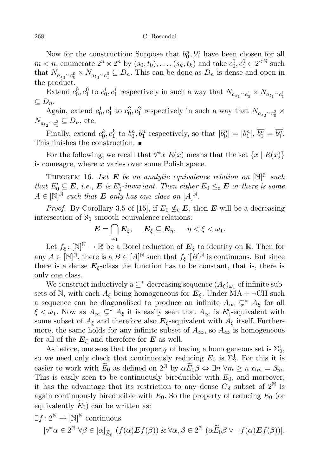## 268 C. Rosendal

Now for the construction: Suppose that  $b_0^n, b_1^n$  have been chosen for all  $m < n$ , enumerate  $2^n \times 2^n$  by  $(s_0, t_0), \ldots, (s_k, t_k)$  and take  $c_0^0, c_1^0 \in 2^{< N}$  such that  $N_{a_{s_0} \cap c_0^0} \times N_{a_{t_0} \cap c_1^0} \subseteq D_n$ . This can be done as  $D_n$  is dense and open in the product.

Extend  $c_0^0, c_1^0$  to  $c_0^1, c_1^1$  respectively in such a way that  $N_{a_{s_1} \frown c_0^1} \times N_{a_{t_1} \frown c_1^1}$  $\subseteq D_n$ .

Again, extend  $c_0^1, c_1^1$  to  $c_0^2, c_1^2$  respectively in such a way that  $N_{a_{s_2} \frown c_0^2}$  ×  $N_{a_{t_2} \cap c_1^2} \subseteq D_n$ , etc. 1

Finally, extend  $c_0^k, c_1^k$  to  $b_0^n, b_1^n$  respectively, so that  $|b_0^n| = |b_1^n|, \overline{b_0^n} = \overline{b_1^n}$ . This finishes the construction.

For the following, we recall that  $\forall^* x \ R(x)$  means that the set  $\{x \mid R(x)\}\$ is comeagre, where  $x$  varies over some Polish space.

THEOREM 16. Let **E** be an analytic equivalence relation on  $[N]^{\mathbb{N}}$  such that  $E'_0 \subseteq E$ , i.e.,  $E$  is  $E'_0$ -invariant. Then either  $E_0 \leq_c E$  or there is some  $A \in [\mathbb{N}]^{\mathbb{N}}$  such that **E** only has one class on  $[A]^{\mathbb{N}}$ .

*Proof.* By Corollary 3.5 of [15], if  $E_0 \nleq_{\text{c}} E$ , then E will be a decreasing intersection of  $\aleph_1$  smooth equivalence relations:

$$
\boldsymbol{E} = \bigcap_{\omega_1} \boldsymbol{E}_{\xi}, \quad \boldsymbol{E}_{\xi} \subseteq \boldsymbol{E}_{\eta}, \quad \eta < \xi < \omega_1.
$$

Let  $f_{\xi} \colon [\mathbb{N}]^{\mathbb{N}} \to \mathbb{R}$  be a Borel reduction of  $\mathbf{E}_{\xi}$  to identity on  $\mathbb{R}$ . Then for any  $A \in [\mathbb{N}]^{\mathbb{N}}$ , there is a  $B \in [A]^{\mathbb{N}}$  such that  $f_{\xi}$   $[[B]^{\mathbb{N}}$  is continuous. But since there is a dense  $E_{\xi}$ -class the function has to be constant, that is, there is only one class.

We construct inductively a  $\subseteq^*$ -decreasing sequence  $(A_{\xi})_{\omega_1}$  of infinite subsets of N, with each  $A_{\xi}$  being homogeneous for  $\mathbf{E}_{\xi}$ . Under MA +  $\neg$ CH such a sequence can be diagonalised to produce an infinite  $A_{\infty} \subsetneq^* A_{\xi}$  for all  $\xi < \omega_1$ . Now as  $A_{\infty} \subsetneq^* A_{\xi}$  it is easily seen that  $A_{\infty}$  is  $E'_0$ -equivalent with some subset of  $A_{\xi}$  and therefore also  $\mathbf{E}_{\xi}$ -equivalent with  $A_{\xi}$  itself. Furthermore, the same holds for any infinite subset of  $A_{\infty}$ , so  $A_{\infty}$  is homogeneous for all of the  $E_{\xi}$  and therefore for E as well.

As before, one sees that the property of having a homogeneous set is  $\Sigma_2^1$ , so we need only check that continuously reducing  $E_0$  is  $\Sigma_2^1$ . For this it is easier to work with  $E_0$  as defined on  $2^{\mathbb{N}}$  by  $\alpha E_0 \beta \Leftrightarrow \exists n \forall m \ge n \alpha_m = \beta_m$ . This is easily seen to be continuously bireducible with  $E_0$ , and moreover, it has the advantage that its restriction to any dense  $G_{\delta}$  subset of  $2^{\mathbb{N}}$  is again continuously bireducible with  $E_0$ . So the property of reducing  $E_0$  (or equivalently  $E_0$ ) can be written as:

$$
\exists f \colon 2^{\mathbb{N}} \to [\mathbb{N}]^{\mathbb{N}} \text{ continuous} \quad [\forall^* \alpha \in 2^{\mathbb{N}} \ \forall \beta \in [\alpha]_{\widetilde{E}_0} \ (f(\alpha) \mathbf{E} f(\beta)) \ \& \ \forall \alpha, \beta \in 2^{\mathbb{N}} \ (\alpha \widetilde{E}_0 \beta \vee \neg f(\alpha) \mathbf{E} f(\beta))].
$$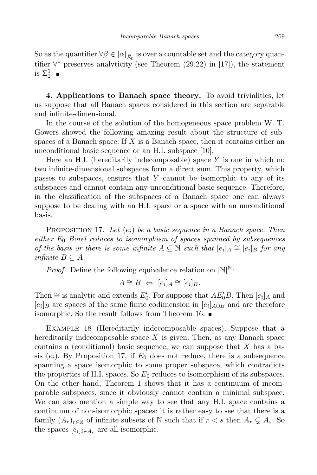So as the quantifier  $\forall \beta \in [\alpha]_{E_0}$  is over a countable set and the category quantifier ∀ ∗ preserves analyticity (see Theorem (29.22) in [17]), the statement is  $\Sigma^1_2$ .

4. Applications to Banach space theory. To avoid trivialities, let us suppose that all Banach spaces considered in this section are separable and infinite-dimensional.

In the course of the solution of the homogeneous space problem W. T. Gowers showed the following amazing result about the structure of subspaces of a Banach space: If  $X$  is a Banach space, then it contains either an unconditional basic sequence or an H.I. subspace [10].

Here an H.I. (hereditarily indecomposable) space  $Y$  is one in which no two infinite-dimensional subspaces form a direct sum. This property, which passes to subspaces, ensures that Y cannot be isomorphic to any of its subspaces and cannot contain any unconditional basic sequence. Therefore, in the classification of the subspaces of a Banach space one can always suppose to be dealing with an H.I. space or a space with an unconditional basis.

PROPOSITION 17. Let  $(e_i)$  be a basic sequence in a Banach space. Then either  $E_0$  Borel reduces to isomorphism of spaces spanned by subsequences of the basis or there is some infinite  $A \subseteq \mathbb{N}$  such that  $[e_i]_A \cong [e_i]_B$  for any infinite  $B \subseteq A$ .

*Proof.* Define the following equivalence relation on  $[N]^N$ :

$$
A \cong B \Leftrightarrow [e_i]_A \cong [e_i]_B.
$$

Then  $\cong$  is analytic and extends  $E'_0$ . For suppose that  $AE'_0B$ . Then  $[e_i]_A$  and  $[e_i]_B$  are spaces of the same finite codimension in  $[e_i]_{A\cup B}$  and are therefore isomorphic. So the result follows from Theorem 16.

Example 18 (Hereditarily indecomposable spaces). Suppose that a hereditarily indecomposable space  $X$  is given. Then, as any Banach space contains a (conditional) basic sequence, we can suppose that  $X$  has a basis  $(e_i)$ . By Proposition 17, if  $E_0$  does not reduce, there is a subsequence spanning a space isomorphic to some proper subspace, which contradicts the properties of H.I. spaces. So  $E_0$  reduces to isomorphism of its subspaces. On the other hand, Theorem 1 shows that it has a continuum of incomparable subspaces, since it obviously cannot contain a minimal subspace. We can also mention a simple way to see that any H.I. space contains a continuum of non-isomorphic spaces: it is rather easy to see that there is a family  $(A_r)_{r \in \mathbb{R}}$  of infinite subsets of N such that if  $r < s$  then  $A_r \subsetneq A_s$ . So the spaces  $[e_i]_{i \in A_r}$  are all isomorphic.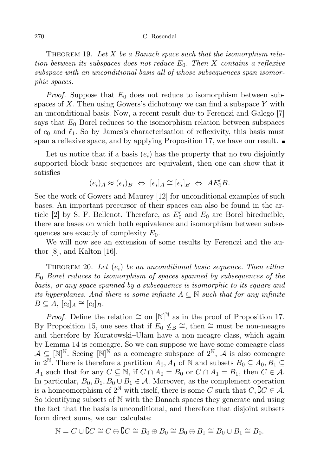THEOREM 19. Let  $X$  be a Banach space such that the isomorphism relation between its subspaces does not reduce  $E_0$ . Then X contains a reflexive subspace with an unconditional basis all of whose subsequences span isomorphic spaces.

*Proof.* Suppose that  $E_0$  does not reduce to isomorphism between subspaces of  $X$ . Then using Gowers's dichotomy we can find a subspace  $Y$  with an unconditional basis. Now, a recent result due to Ferenczi and Galego [7] says that  $E_0$  Borel reduces to the isomorphism relation between subspaces of  $c_0$  and  $\ell_1$ . So by James's characterisation of reflexivity, this basis must span a reflexive space, and by applying Proposition 17, we have our result.  $\blacksquare$ 

Let us notice that if a basis  $(e_i)$  has the property that no two disjointly supported block basic sequences are equivalent, then one can show that it satisfies

$$
(e_i)_A \approx (e_i)_B \Leftrightarrow [e_i]_A \cong [e_i]_B \Leftrightarrow AE'_0B.
$$

See the work of Gowers and Maurey [12] for unconditional examples of such bases. An important precursor of their spaces can also be found in the article [2] by S. F. Bellenot. Therefore, as  $E'_0$  and  $E_0$  are Borel bireducible, there are bases on which both equivalence and isomorphism between subsequences are exactly of complexity  $E_0$ .

We will now see an extension of some results by Ferenczi and the author [8], and Kalton [16].

THEOREM 20. Let  $(e_i)$  be an unconditional basic sequence. Then either  $E_0$  Borel reduces to isomorphism of spaces spanned by subsequences of the basis, or any space spanned by a subsequence is isomorphic to its square and its hyperplanes. And there is some infinite  $A \subseteq \mathbb{N}$  such that for any infinite  $B\subseteq A, [e_i]_A\cong [e_i]_B.$ 

*Proof.* Define the relation  $\cong$  on  $[N]^N$  as in the proof of Proposition 17. By Proposition 15, one sees that if  $E_0 \nleq_B \cong$ , then  $\cong$  must be non-meagre and therefore by Kuratowski–Ulam have a non-meagre class, which again by Lemma 14 is comeagre. So we can suppose we have some comeagre class  $\mathcal{A} \subseteq \mathbb{N}^{\mathbb{N}}$ . Seeing  $\mathbb{N}^{\mathbb{N}}$  as a comeagre subspace of  $2^{\mathbb{N}}$ ,  $\mathcal{A}$  is also comeagre in  $2^{\mathbb{N}}$ . There is therefore a partition  $A_0, A_1$  of  $\mathbb{N}$  and subsets  $B_0 \subseteq A_0, B_1 \subseteq$ A<sub>1</sub> such that for any  $C \subseteq \mathbb{N}$ , if  $C \cap A_0 = B_0$  or  $C \cap A_1 = B_1$ , then  $C \in \mathcal{A}$ . In particular,  $B_0, B_1, B_0 \cup B_1 \in \mathcal{A}$ . Moreover, as the complement operation is a homeomorphism of  $2^{\mathbb{N}}$  with itself, there is some C such that  $C,$   $C \in \mathcal{A}$ . So identifying subsets of N with the Banach spaces they generate and using the fact that the basis is unconditional, and therefore that disjoint subsets form direct sums, we can calculate:

$$
\mathbb{N} = C \cup \mathbb{C}C \cong C \oplus \mathbb{C}C \cong B_0 \oplus B_0 \cong B_0 \oplus B_1 \cong B_0 \cup B_1 \cong B_0.
$$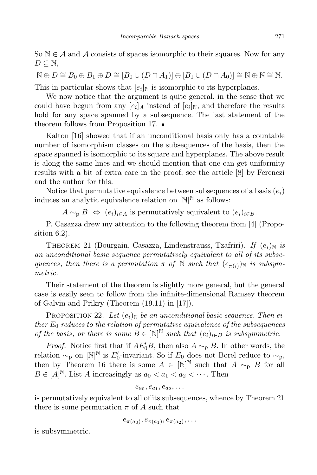So  $\mathbb{N} \in \mathcal{A}$  and  $\mathcal{A}$  consists of spaces isomorphic to their squares. Now for any  $D \subseteq \mathbb{N},$ 

 $\mathbb{N} \oplus D \cong B_0 \oplus B_1 \oplus D \cong [B_0 \cup (D \cap A_1)] \oplus [B_1 \cup (D \cap A_0)] \cong \mathbb{N} \oplus \mathbb{N} \cong \mathbb{N}.$ This in particular shows that  $[e_i]_N$  is isomorphic to its hyperplanes.

We now notice that the argument is quite general, in the sense that we could have begun from any  $[e_i]_A$  instead of  $[e_i]_N$ , and therefore the results hold for any space spanned by a subsequence. The last statement of the theorem follows from Proposition 17.

Kalton [16] showed that if an unconditional basis only has a countable number of isomorphism classes on the subsequences of the basis, then the space spanned is isomorphic to its square and hyperplanes. The above result is along the same lines and we should mention that one can get uniformity results with a bit of extra care in the proof; see the article [8] by Ferenczi and the author for this.

Notice that permutative equivalence between subsequences of a basis  $(e_i)$ induces an analytic equivalence relation on  $[N]^N$  as follows:

 $A \sim_{\text{D}} B \Leftrightarrow (e_i)_{i \in A}$  is permutatively equivalent to  $(e_i)_{i \in B}$ .

P. Casazza drew my attention to the following theorem from [4] (Proposition 6.2).

THEOREM 21 (Bourgain, Casazza, Lindenstrauss, Tzafriri). If  $(e_i)_{\mathbb{N}}$  is an unconditional basic sequence permutatively equivalent to all of its subsequences, then there is a permutation  $\pi$  of N such that  $(e_{\pi(i)})_N$  is subsymmetric.

Their statement of the theorem is slightly more general, but the general case is easily seen to follow from the infinite-dimensional Ramsey theorem of Galvin and Prikry (Theorem (19.11) in [17]).

PROPOSITION 22. Let  $(e_i)$ <sub>N</sub> be an unconditional basic sequence. Then either  $E_0$  reduces to the relation of permutative equivalence of the subsequences of the basis, or there is some  $B \in [\mathbb{N}]^{\mathbb{N}}$  such that  $(e_i)_{i \in B}$  is subsymmetric.

*Proof.* Notice first that if  $AE'_0B$ , then also  $A \sim_{\text{p}} B$ . In other words, the relation  $\sim_p$  on  $[N]^N$  is  $E'_0$ -invariant. So if  $E_0$  does not Borel reduce to  $\sim_p$ , then by Theorem 16 there is some  $A \in [\mathbb{N}]^{\mathbb{N}}$  such that  $A \sim_{\mathfrak{p}} B$  for all  $B \in [A]^{\mathbb{N}}$ . List A increasingly as  $a_0 < a_1 < a_2 < \cdots$ . Then

$$
e_{a_0},e_{a_1},e_{a_2},\ldots
$$

is permutatively equivalent to all of its subsequences, whence by Theorem 21 there is some permutation  $\pi$  of A such that

$$
e_{\pi(a_0)}, e_{\pi(a_1)}, e_{\pi(a_2)}, \ldots
$$

is subsymmetric.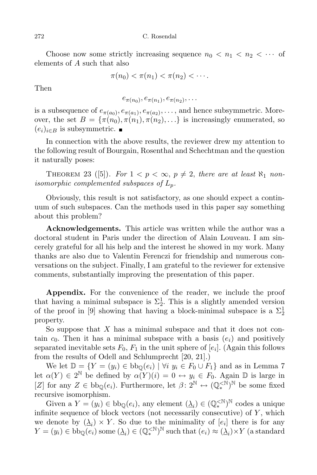Choose now some strictly increasing sequence  $n_0 < n_1 < n_2 < \cdots$  of elements of A such that also

$$
\pi(n_0) < \pi(n_1) < \pi(n_2) < \cdots.
$$

Then

$$
e_{\pi(n_0)}, e_{\pi(n_1)}, e_{\pi(n_2)}, \ldots
$$

is a subsequence of  $e_{\pi(a_0)}, e_{\pi(a_1)}, e_{\pi(a_2)}, \ldots$ , and hence subsymmetric. Moreover, the set  $B = {\pi(n_0), \pi(n_1), \pi(n_2), \ldots}$  is increasingly enumerated, so  $(e_i)_{i \in B}$  is subsymmetric.  $\blacksquare$ 

In connection with the above results, the reviewer drew my attention to the following result of Bourgain, Rosenthal and Schechtman and the question it naturally poses:

THEOREM 23 ([5]). For  $1 < p < \infty$ ,  $p \neq 2$ , there are at least  $\aleph_1$  nonisomorphic complemented subspaces of  $L_p$ .

Obviously, this result is not satisfactory, as one should expect a continuum of such subspaces. Can the methods used in this paper say something about this problem?

Acknowledgements. This article was written while the author was a doctoral student in Paris under the direction of Alain Louveau. I am sincerely grateful for all his help and the interest he showed in my work. Many thanks are also due to Valentin Ferenczi for friendship and numerous conversations on the subject. Finally, I am grateful to the reviewer for extensive comments, substantially improving the presentation of this paper.

Appendix. For the convenience of the reader, we include the proof that having a minimal subspace is  $\Sigma_2^1$ . This is a slightly amended version of the proof in [9] showing that having a block-minimal subspace is a  $\Sigma^1_2$ property.

So suppose that  $X$  has a minimal subspace and that it does not contain  $c_0$ . Then it has a minimal subspace with a basis  $(e_i)$  and positively separated inevitable sets  $F_0, F_1$  in the unit sphere of  $[e_i]$ . (Again this follows from the results of Odell and Schlumprecht [20, 21].)

We let  $\mathbb{D} = \{Y = (y_i) \in bb_0(e_i) \mid \forall i \ y_i \in F_0 \cup F_1\}$  and as in Lemma 7 let  $\alpha(Y) \in 2^{\mathbb{N}}$  be defined by  $\alpha(Y)(i) = 0 \leftrightarrow y_i \in F_0$ . Again  $\mathbb{D}$  is large in [Z] for any  $Z \in \text{bb}_{\mathbb{Q}}(e_i)$ . Furthermore, let  $\beta \colon 2^{\mathbb{N}} \leftrightarrow (\mathbb{Q}_*^{\leq \mathbb{N}})^{\mathbb{N}}$  be some fixed recursive isomorphism.

Given a  $Y = (y_i) \in bb_{\mathbb{Q}}(e_i)$ , any element  $(\underline{\lambda}_i) \in (\mathbb{Q}_*^{\leq N})^N$  codes a unique infinite sequence of block vectors (not necessarily consecutive) of Y, which we denote by  $(\underline{\lambda}_i) \times Y$ . So due to the minimality of  $[e_i]$  there is for any  $Y = (y_i) \in bb_{\mathbb{Q}}(e_i)$  some  $(\underline{\lambda}_i) \in (\mathbb{Q}_*^{<\mathbb{N}})^{\mathbb{N}}$  such that  $(e_i) \approx (\underline{\lambda}_i) \times Y$  (a standard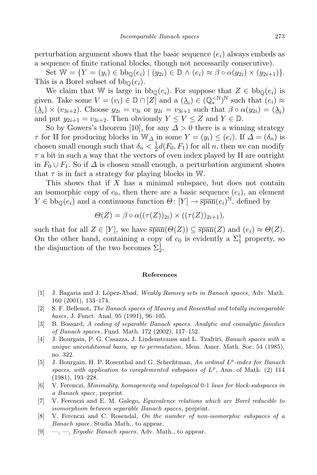Set  $\mathbb{W} = \{ Y = (y_i) \in \text{bb}_{\mathbb{Q}}(e_i) \mid (y_{2i}) \in \mathbb{D} \land (e_i) \approx \beta \circ \alpha(y_{2i}) \times (y_{2i+1}) \}.$ This is a Borel subset of  $bb_{\mathbb{Q}}(e_i)$ .

We claim that W is large in  $bb_{\mathbb{Q}}(e_i)$ . For suppose that  $Z \in bb_{\mathbb{Q}}(e_i)$  is given. Take some  $V = (v_i) \in \mathbb{D} \cap [Z]$  and a  $(\underline{\lambda}_i) \in (\mathbb{Q}_*^{\leq N})^N$  such that  $(e_i) \approx$  $(\underline{\lambda}_i) \times (v_{3i+2})$ . Choose  $y_{2i} = v_{3i}$  or  $y_{2i} = v_{3i+1}$  such that  $\beta \circ \alpha(y_{2i}) = (\underline{\lambda}_i)$ and put  $y_{2i+1} = v_{3i+2}$ . Then obviously  $Y \leq V \leq Z$  and  $Y \in \mathbb{D}$ .

So by Gowers's theorem [10], for any  $\Delta > 0$  there is a winning strategy  $\tau$  for II for producing blocks in W<sub> $\Delta$ </sub> in some  $Y = (y_i) \leq (e_i)$ . If  $\Delta = (\delta_n)$  is chosen small enough such that  $\delta_n < \frac{1}{2}$  $\frac{1}{2}d(F_0, F_1)$  for all n, then we can modify  $\tau$  a bit in such a way that the vectors of even index played by II are outright in  $F_0 \cup F_1$ . So if  $\Delta$  is chosen small enough, a perturbation argument shows that  $\tau$  is in fact a strategy for playing blocks in W.

This shows that if  $X$  has a minimal subspace, but does not contain an isomorphic copy of  $c_0$ , then there are a basic sequence  $(e_i)$ , an element  $Y \in bb_{\mathbb{Q}}(e_i)$  and a continuous function  $\Theta \colon [Y] \to \overline{\text{span}}(e_i)^{\mathbb{N}}$ , defined by

$$
\Theta(Z) = \beta \circ \alpha((\tau(Z))_{2i}) \times ((\tau(Z))_{2i+1}),
$$

such that for all  $Z \in [Y]$ , we have  $\overline{\text{span}}(\Theta(Z)) \subseteq \overline{\text{span}}(Z)$  and  $(e_i) \approx \Theta(Z)$ . On the other hand, containing a copy of  $c_0$  is evidently a  $\Sigma_1^1$  property, so the disjunction of the two becomes  $\Sigma_2^1$ .

## References

- [1] J. Bagaria and J. López-Abad, Weakly Ramsey sets in Banach spaces, Adv. Math. 160 (2001), 133–174.
- [2] S. F. Bellenot, The Banach spaces of Maurey and Rosenthal and totally incomparable bases, J. Funct. Anal. 95 (1991), 96–105.
- [3] B. Bossard, A coding of separable Banach spaces. Analytic and coanalytic families of Banach spaces, Fund. Math. 172 (2002), 117–152.
- [4] J. Bourgain, P. G. Casazza, J. Lindenstrauss and L. Tzafriri, Banach spaces with a unique unconditional basis, up to permutation, Mem. Amer. Math. Soc. 54 (1985), no. 322.
- [5] J. Bourgain, H. P. Rosenthal and G. Schechtman, An ordinal  $L^p$ -index for Banach spaces, with application to complemented subspaces of  $L^p$ , Ann. of Math. (2) 114 (1981), 193–228.
- [6] V. Ferenczi, Minimality, homogeneity and topological 0-1 laws for block-subspaces in a Banach space, preprint.
- [7] V. Ferenczi and E. M. Galego, Equivalence relations which are Borel reducible to isomorphism between separable Banach spaces, preprint.
- [8] V. Ferenczi and C. Rosendal, On the number of non-isomorphic subspaces of a Banach space, Studia Math., to appear.
- [9]  $\quad$ ,  $\quad$ , *Ergodic Banach spaces*, Adv. Math., to appear.